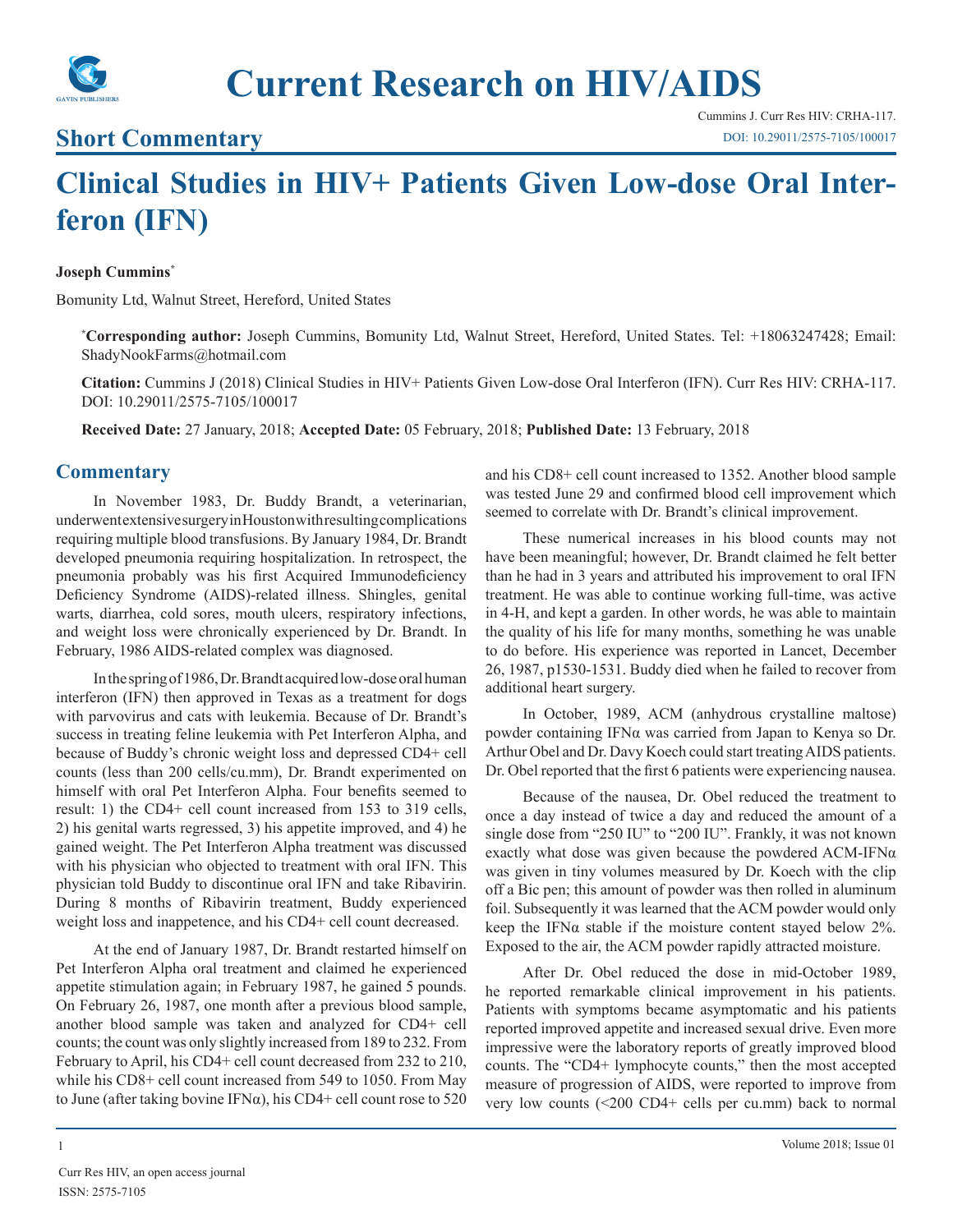

# **Short Commentary**

Cummins J. Curr Res HIV: CRHA-117. [DOI: 10.29011/2575-7105/100017](http://doi.org/10.29011/2575-7105/100017)

# **Clinical Studies in HIV+ Patients Given Low-dose Oral Interferon (IFN)**

#### **Joseph Cummins\***

Bomunity Ltd, Walnut Street, Hereford, United States

**\* Corresponding author:** Joseph Cummins, Bomunity Ltd, Walnut Street, Hereford, United States. Tel: +18063247428; Email: ShadyNookFarms@hotmail.com

**Citation:** Cummins J (2018) Clinical Studies in HIV+ Patients Given Low-dose Oral Interferon (IFN). Curr Res HIV: CRHA-117. DOI: 10.29011/2575-7105/100017

**Received Date:** 27 January, 2018; **Accepted Date:** 05 February, 2018; **Published Date:** 13 February, 2018

### **Commentary**

In November 1983, Dr. Buddy Brandt, a veterinarian, underwent extensive surgery in Houston with resulting complications requiring multiple blood transfusions. By January 1984, Dr. Brandt developed pneumonia requiring hospitalization. In retrospect, the pneumonia probably was his first Acquired Immunodeficiency Deficiency Syndrome (AIDS)-related illness. Shingles, genital warts, diarrhea, cold sores, mouth ulcers, respiratory infections, and weight loss were chronically experienced by Dr. Brandt. In February, 1986 AIDS-related complex was diagnosed.

In the spring of 1986, Dr. Brandt acquired low-dose oral human interferon (IFN) then approved in Texas as a treatment for dogs with parvovirus and cats with leukemia. Because of Dr. Brandt's success in treating feline leukemia with Pet Interferon Alpha, and because of Buddy's chronic weight loss and depressed CD4+ cell counts (less than 200 cells/cu.mm), Dr. Brandt experimented on himself with oral Pet Interferon Alpha. Four benefits seemed to result: 1) the CD4+ cell count increased from 153 to 319 cells, 2) his genital warts regressed, 3) his appetite improved, and 4) he gained weight. The Pet Interferon Alpha treatment was discussed with his physician who objected to treatment with oral IFN. This physician told Buddy to discontinue oral IFN and take Ribavirin. During 8 months of Ribavirin treatment, Buddy experienced weight loss and inappetence, and his CD4+ cell count decreased.

At the end of January 1987, Dr. Brandt restarted himself on Pet Interferon Alpha oral treatment and claimed he experienced appetite stimulation again; in February 1987, he gained 5 pounds. On February 26, 1987, one month after a previous blood sample, another blood sample was taken and analyzed for CD4+ cell counts; the count was only slightly increased from 189 to 232. From February to April, his CD4+ cell count decreased from 232 to 210, while his CD8+ cell count increased from 549 to 1050. From May to June (after taking bovine IFN $\alpha$ ), his CD4+ cell count rose to 520

and his CD8+ cell count increased to 1352. Another blood sample was tested June 29 and confirmed blood cell improvement which seemed to correlate with Dr. Brandt's clinical improvement.

These numerical increases in his blood counts may not have been meaningful; however, Dr. Brandt claimed he felt better than he had in 3 years and attributed his improvement to oral IFN treatment. He was able to continue working full-time, was active in 4-H, and kept a garden. In other words, he was able to maintain the quality of his life for many months, something he was unable to do before. His experience was reported in Lancet, December 26, 1987, p1530-1531. Buddy died when he failed to recover from additional heart surgery.

In October, 1989, ACM (anhydrous crystalline maltose) powder containing IFNα was carried from Japan to Kenya so Dr. Arthur Obel and Dr. Davy Koech could start treating AIDS patients. Dr. Obel reported that the first 6 patients were experiencing nausea.

Because of the nausea, Dr. Obel reduced the treatment to once a day instead of twice a day and reduced the amount of a single dose from "250 IU" to "200 IU". Frankly, it was not known exactly what dose was given because the powdered  $ACM$ -IFN $\alpha$ was given in tiny volumes measured by Dr. Koech with the clip off a Bic pen; this amount of powder was then rolled in aluminum foil. Subsequently it was learned that the ACM powder would only keep the IFN $\alpha$  stable if the moisture content stayed below 2%. Exposed to the air, the ACM powder rapidly attracted moisture.

After Dr. Obel reduced the dose in mid-October 1989, he reported remarkable clinical improvement in his patients. Patients with symptoms became asymptomatic and his patients reported improved appetite and increased sexual drive. Even more impressive were the laboratory reports of greatly improved blood counts. The "CD4+ lymphocyte counts," then the most accepted measure of progression of AIDS, were reported to improve from very low counts (<200 CD4+ cells per cu.mm) back to normal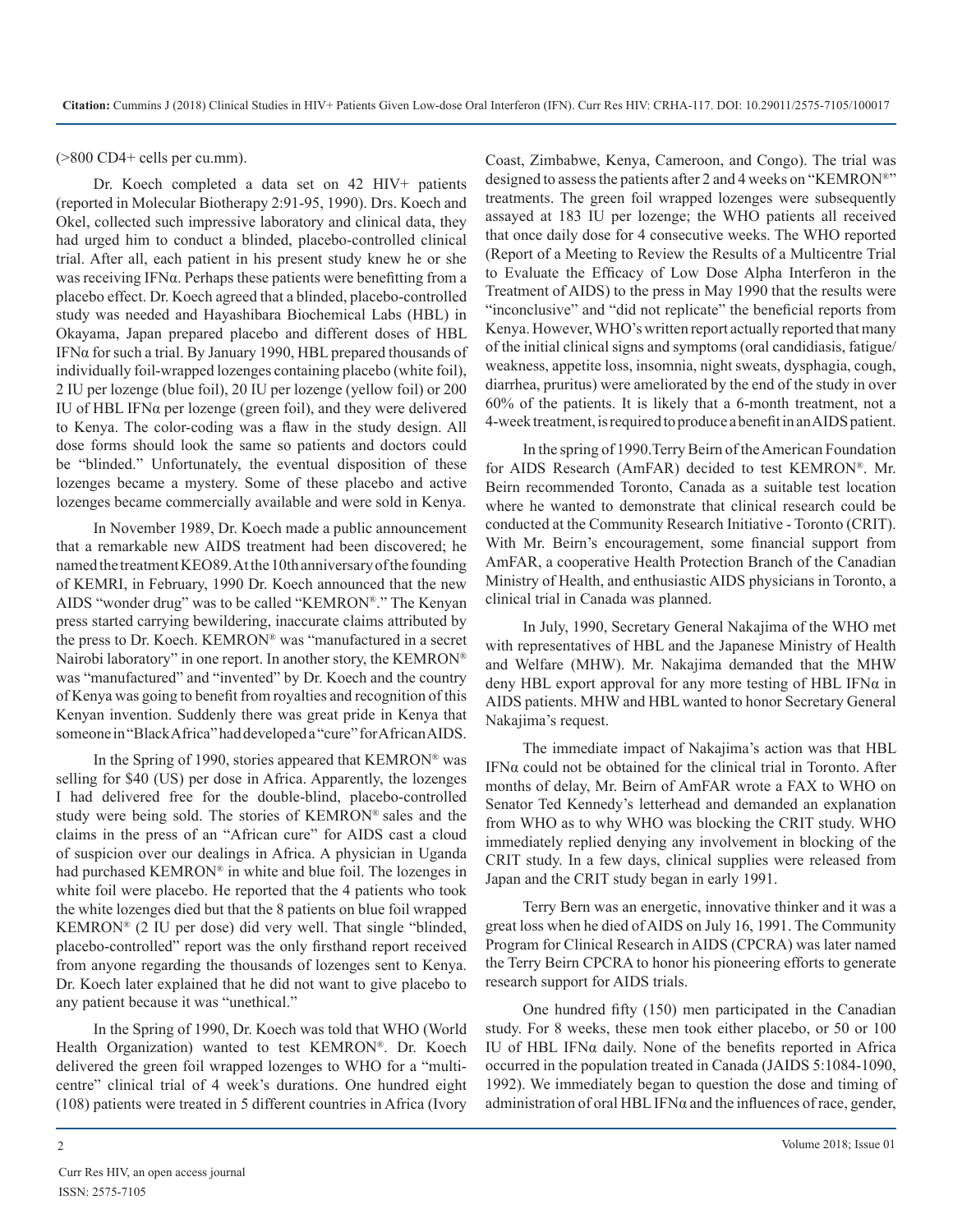(>800 CD4+ cells per cu.mm).

Dr. Koech completed a data set on 42 HIV+ patients (reported in Molecular Biotherapy 2:91-95, 1990). Drs. Koech and Okel, collected such impressive laboratory and clinical data, they had urged him to conduct a blinded, placebo-controlled clinical trial. After all, each patient in his present study knew he or she was receiving IFNα. Perhaps these patients were benefitting from a placebo effect. Dr. Koech agreed that a blinded, placebo-controlled study was needed and Hayashibara Biochemical Labs (HBL) in Okayama, Japan prepared placebo and different doses of HBL IFNα for such a trial. By January 1990, HBL prepared thousands of individually foil-wrapped lozenges containing placebo (white foil), 2 IU per lozenge (blue foil), 20 IU per lozenge (yellow foil) or 200 IU of HBL IFNα per lozenge (green foil), and they were delivered to Kenya. The color-coding was a flaw in the study design. All dose forms should look the same so patients and doctors could be "blinded." Unfortunately, the eventual disposition of these lozenges became a mystery. Some of these placebo and active lozenges became commercially available and were sold in Kenya.

In November 1989, Dr. Koech made a public announcement that a remarkable new AIDS treatment had been discovered; he named the treatment KEO89. At the 10th anniversary of the founding of KEMRI, in February, 1990 Dr. Koech announced that the new AIDS "wonder drug" was to be called "KEMRON®." The Kenyan press started carrying bewildering, inaccurate claims attributed by the press to Dr. Koech. KEMRON® was "manufactured in a secret Nairobi laboratory" in one report. In another story, the KEMRON® was "manufactured" and "invented" by Dr. Koech and the country of Kenya was going to benefit from royalties and recognition of this Kenyan invention. Suddenly there was great pride in Kenya that someone in "Black Africa" had developed a "cure" for African AIDS.

In the Spring of 1990, stories appeared that KEMRON® was selling for \$40 (US) per dose in Africa. Apparently, the lozenges I had delivered free for the double-blind, placebo-controlled study were being sold. The stories of KEMRON® sales and the claims in the press of an "African cure" for AIDS cast a cloud of suspicion over our dealings in Africa. A physician in Uganda had purchased KEMRON® in white and blue foil. The lozenges in white foil were placebo. He reported that the 4 patients who took the white lozenges died but that the 8 patients on blue foil wrapped KEMRON® (2 IU per dose) did very well. That single "blinded, placebo-controlled" report was the only firsthand report received from anyone regarding the thousands of lozenges sent to Kenya. Dr. Koech later explained that he did not want to give placebo to any patient because it was "unethical."

In the Spring of 1990, Dr. Koech was told that WHO (World Health Organization) wanted to test KEMRON®. Dr. Koech delivered the green foil wrapped lozenges to WHO for a "multicentre" clinical trial of 4 week's durations. One hundred eight (108) patients were treated in 5 different countries in Africa (Ivory

Coast, Zimbabwe, Kenya, Cameroon, and Congo). The trial was designed to assess the patients after 2 and 4 weeks on "KEMRON®" treatments. The green foil wrapped lozenges were subsequently assayed at 183 IU per lozenge; the WHO patients all received that once daily dose for 4 consecutive weeks. The WHO reported (Report of a Meeting to Review the Results of a Multicentre Trial to Evaluate the Efficacy of Low Dose Alpha Interferon in the Treatment of AIDS) to the press in May 1990 that the results were "inconclusive" and "did not replicate" the beneficial reports from Kenya. However, WHO's written report actually reported that many of the initial clinical signs and symptoms (oral candidiasis, fatigue/ weakness, appetite loss, insomnia, night sweats, dysphagia, cough, diarrhea, pruritus) were ameliorated by the end of the study in over 60% of the patients. It is likely that a 6-month treatment, not a 4-week treatment, is required to produce a benefit in an AIDS patient.

In the spring of 1990.Terry Beirn of the American Foundation for AIDS Research (AmFAR) decided to test KEMRON®. Mr. Beirn recommended Toronto, Canada as a suitable test location where he wanted to demonstrate that clinical research could be conducted at the Community Research Initiative - Toronto (CRIT). With Mr. Beirn's encouragement, some financial support from AmFAR, a cooperative Health Protection Branch of the Canadian Ministry of Health, and enthusiastic AIDS physicians in Toronto, a clinical trial in Canada was planned.

In July, 1990, Secretary General Nakajima of the WHO met with representatives of HBL and the Japanese Ministry of Health and Welfare (MHW). Mr. Nakajima demanded that the MHW deny HBL export approval for any more testing of HBL IFNα in AIDS patients. MHW and HBL wanted to honor Secretary General Nakajima's request.

The immediate impact of Nakajima's action was that HBL IFNα could not be obtained for the clinical trial in Toronto. After months of delay, Mr. Beirn of AmFAR wrote a FAX to WHO on Senator Ted Kennedy's letterhead and demanded an explanation from WHO as to why WHO was blocking the CRIT study. WHO immediately replied denying any involvement in blocking of the CRIT study. In a few days, clinical supplies were released from Japan and the CRIT study began in early 1991.

Terry Bern was an energetic, innovative thinker and it was a great loss when he died of AIDS on July 16, 1991. The Community Program for Clinical Research in AIDS (CPCRA) was later named the Terry Beirn CPCRA to honor his pioneering efforts to generate research support for AIDS trials.

One hundred fifty (150) men participated in the Canadian study. For 8 weeks, these men took either placebo, or 50 or 100 IU of HBL IFNα daily. None of the benefits reported in Africa occurred in the population treated in Canada (JAIDS 5:1084-1090, 1992). We immediately began to question the dose and timing of administration of oral HBL IFN $\alpha$  and the influences of race, gender,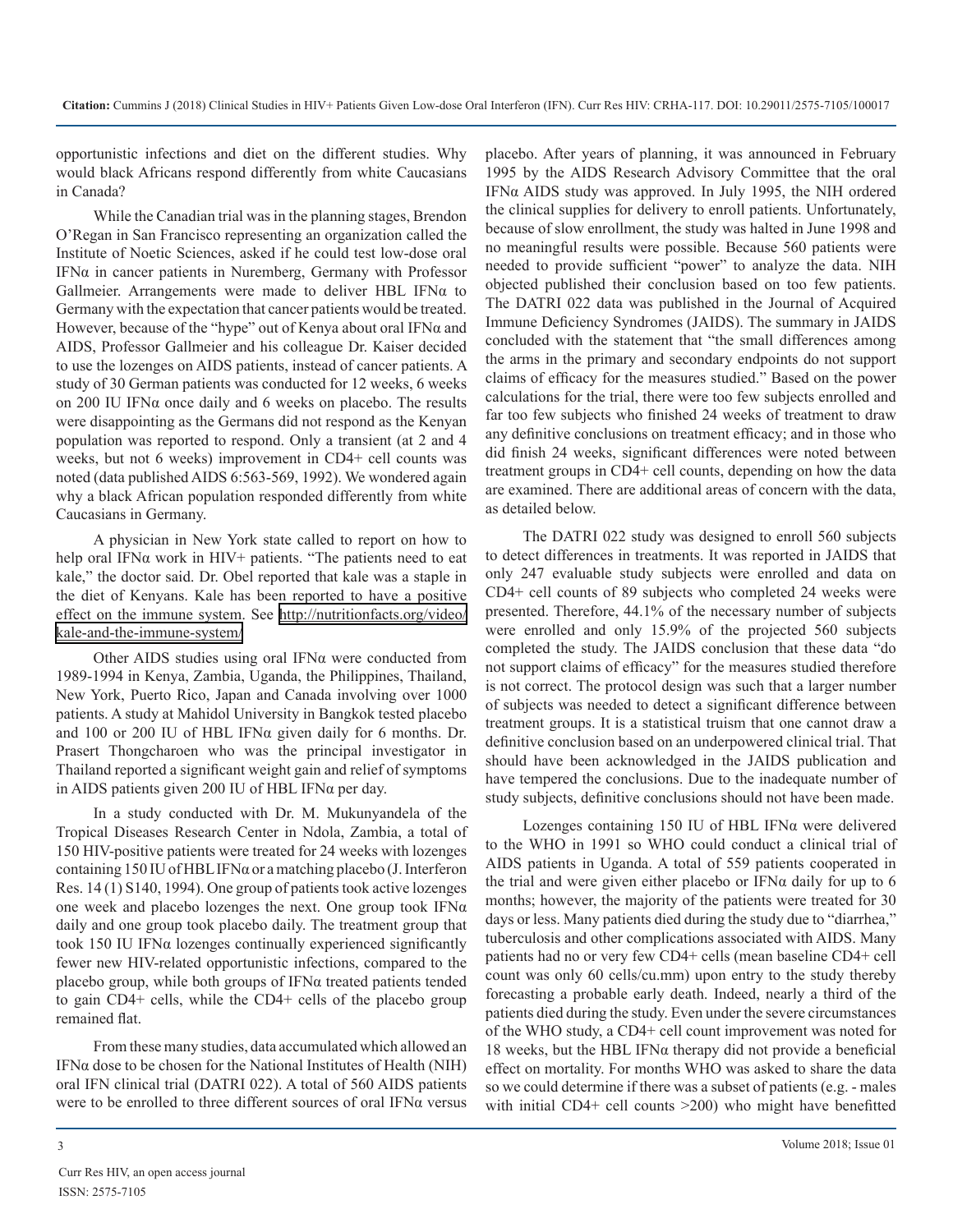opportunistic infections and diet on the different studies. Why would black Africans respond differently from white Caucasians in Canada?

While the Canadian trial was in the planning stages, Brendon O'Regan in San Francisco representing an organization called the Institute of Noetic Sciences, asked if he could test low-dose oral IFNα in cancer patients in Nuremberg, Germany with Professor Gallmeier. Arrangements were made to deliver HBL IFNα to Germany with the expectation that cancer patients would be treated. However, because of the "hype" out of Kenya about oral IFNα and AIDS, Professor Gallmeier and his colleague Dr. Kaiser decided to use the lozenges on AIDS patients, instead of cancer patients. A study of 30 German patients was conducted for 12 weeks, 6 weeks on 200 IU IFN $\alpha$  once daily and 6 weeks on placebo. The results were disappointing as the Germans did not respond as the Kenyan population was reported to respond. Only a transient (at 2 and 4 weeks, but not 6 weeks) improvement in CD4+ cell counts was noted (data published AIDS 6:563-569, 1992). We wondered again why a black African population responded differently from white Caucasians in Germany.

A physician in New York state called to report on how to help oral IFN $\alpha$  work in HIV+ patients. "The patients need to eat kale," the doctor said. Dr. Obel reported that kale was a staple in the diet of Kenyans. Kale has been reported to have a positive effect on the immune system. See [http://nutritionfacts.org/video/](http://nutritionfacts.org/video/kale-and-the-immune-system/) [kale-and-the-immune-system/](http://nutritionfacts.org/video/kale-and-the-immune-system/)

Other AIDS studies using oral IFNα were conducted from 1989-1994 in Kenya, Zambia, Uganda, the Philippines, Thailand, New York, Puerto Rico, Japan and Canada involving over 1000 patients. A study at Mahidol University in Bangkok tested placebo and 100 or 200 IU of HBL IFNα given daily for 6 months. Dr. Prasert Thongcharoen who was the principal investigator in Thailand reported a significant weight gain and relief of symptoms in AIDS patients given 200 IU of HBL IFN $\alpha$  per day.

In a study conducted with Dr. M. Mukunyandela of the Tropical Diseases Research Center in Ndola, Zambia, a total of 150 HIV-positive patients were treated for 24 weeks with lozenges containing 150 IU of HBL IFNα or a matching placebo (J. Interferon Res. 14 (1) S140, 1994). One group of patients took active lozenges one week and placebo lozenges the next. One group took  $IFN\alpha$ daily and one group took placebo daily. The treatment group that took 150 IU IFNα lozenges continually experienced significantly fewer new HIV-related opportunistic infections, compared to the placebo group, while both groups of IFNα treated patients tended to gain CD4+ cells, while the CD4+ cells of the placebo group remained flat.

From these many studies, data accumulated which allowed an IFNα dose to be chosen for the National Institutes of Health (NIH) oral IFN clinical trial (DATRI 022). A total of 560 AIDS patients were to be enrolled to three different sources of oral IFNα versus placebo. After years of planning, it was announced in February 1995 by the AIDS Research Advisory Committee that the oral IFNα AIDS study was approved. In July 1995, the NIH ordered the clinical supplies for delivery to enroll patients. Unfortunately, because of slow enrollment, the study was halted in June 1998 and no meaningful results were possible. Because 560 patients were needed to provide sufficient "power" to analyze the data. NIH objected published their conclusion based on too few patients. The DATRI 022 data was published in the Journal of Acquired Immune Deficiency Syndromes (JAIDS). The summary in JAIDS concluded with the statement that "the small differences among the arms in the primary and secondary endpoints do not support claims of efficacy for the measures studied." Based on the power calculations for the trial, there were too few subjects enrolled and far too few subjects who finished 24 weeks of treatment to draw any definitive conclusions on treatment efficacy; and in those who did finish 24 weeks, significant differences were noted between treatment groups in CD4+ cell counts, depending on how the data are examined. There are additional areas of concern with the data, as detailed below.

The DATRI 022 study was designed to enroll 560 subjects to detect differences in treatments. It was reported in JAIDS that only 247 evaluable study subjects were enrolled and data on CD4+ cell counts of 89 subjects who completed 24 weeks were presented. Therefore, 44.1% of the necessary number of subjects were enrolled and only 15.9% of the projected 560 subjects completed the study. The JAIDS conclusion that these data "do not support claims of efficacy" for the measures studied therefore is not correct. The protocol design was such that a larger number of subjects was needed to detect a significant difference between treatment groups. It is a statistical truism that one cannot draw a definitive conclusion based on an underpowered clinical trial. That should have been acknowledged in the JAIDS publication and have tempered the conclusions. Due to the inadequate number of study subjects, definitive conclusions should not have been made.

Lozenges containing 150 IU of HBL IFNα were delivered to the WHO in 1991 so WHO could conduct a clinical trial of AIDS patients in Uganda. A total of 559 patients cooperated in the trial and were given either placebo or IFN $\alpha$  daily for up to 6 months; however, the majority of the patients were treated for 30 days or less. Many patients died during the study due to "diarrhea," tuberculosis and other complications associated with AIDS. Many patients had no or very few CD4+ cells (mean baseline CD4+ cell count was only 60 cells/cu.mm) upon entry to the study thereby forecasting a probable early death. Indeed, nearly a third of the patients died during the study. Even under the severe circumstances of the WHO study, a CD4+ cell count improvement was noted for 18 weeks, but the HBL IFN $\alpha$  therapy did not provide a beneficial effect on mortality. For months WHO was asked to share the data so we could determine if there was a subset of patients (e.g. - males with initial CD4+ cell counts >200) who might have benefitted